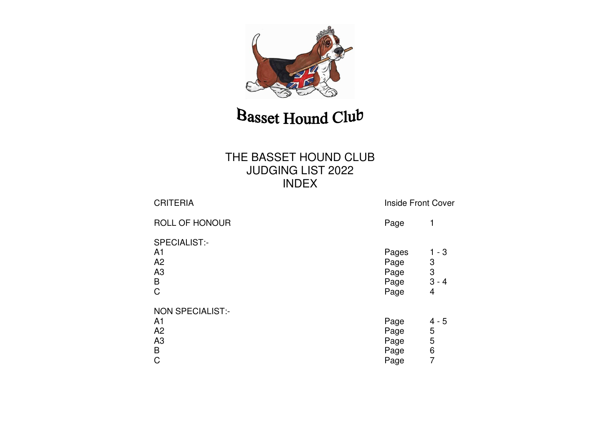

### THE BASSET HOUND CLUB JUDGING LIST 2022 INDEX

| <b>CRITERIA</b>                                                                       | <b>Inside Front Cover</b>             |                                   |  |
|---------------------------------------------------------------------------------------|---------------------------------------|-----------------------------------|--|
| <b>ROLL OF HONOUR</b>                                                                 | Page                                  | 1                                 |  |
| SPECIALIST:-<br>A <sub>1</sub><br>A <sub>2</sub><br>A3<br>B<br>$\mathsf C$            | Pages<br>Page<br>Page<br>Page<br>Page | $1 - 3$<br>3<br>3<br>$3 - 4$<br>4 |  |
| <b>NON SPECIALIST:-</b><br>A <sub>1</sub><br>A <sub>2</sub><br>A3<br>B<br>$\mathsf C$ | Page<br>Page<br>Page<br>Page<br>Page  | $4 - 5$<br>5<br>5<br>6<br>7       |  |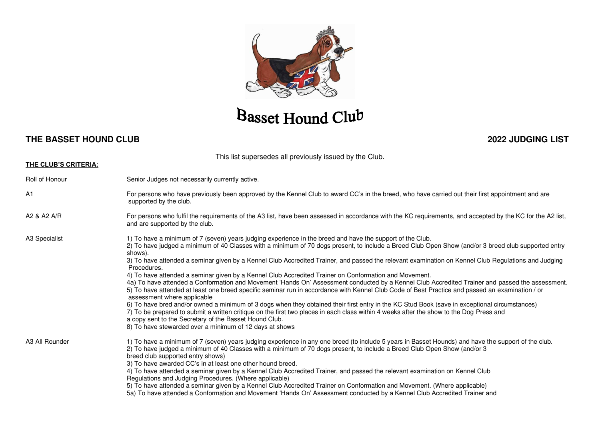

#### **THE BASSET HOUND CLUB 2022 JUDGING LIST**

This list supersedes all previously issued by the Club.

| THE CLUB'S CRITERIA: |                                                                                                                                                                                                                                                                                                                                                                                                                                                                                                                                                                                                                                                                                                                                                                                                                                                                                                                                                                                                                                                                                                                                                                                                                                                                                                                  |
|----------------------|------------------------------------------------------------------------------------------------------------------------------------------------------------------------------------------------------------------------------------------------------------------------------------------------------------------------------------------------------------------------------------------------------------------------------------------------------------------------------------------------------------------------------------------------------------------------------------------------------------------------------------------------------------------------------------------------------------------------------------------------------------------------------------------------------------------------------------------------------------------------------------------------------------------------------------------------------------------------------------------------------------------------------------------------------------------------------------------------------------------------------------------------------------------------------------------------------------------------------------------------------------------------------------------------------------------|
| Roll of Honour       | Senior Judges not necessarily currently active.                                                                                                                                                                                                                                                                                                                                                                                                                                                                                                                                                                                                                                                                                                                                                                                                                                                                                                                                                                                                                                                                                                                                                                                                                                                                  |
| A <sub>1</sub>       | For persons who have previously been approved by the Kennel Club to award CC's in the breed, who have carried out their first appointment and are<br>supported by the club.                                                                                                                                                                                                                                                                                                                                                                                                                                                                                                                                                                                                                                                                                                                                                                                                                                                                                                                                                                                                                                                                                                                                      |
| A2 & A2 A/R          | For persons who fulfil the requirements of the A3 list, have been assessed in accordance with the KC requirements, and accepted by the KC for the A2 list,<br>and are supported by the club.                                                                                                                                                                                                                                                                                                                                                                                                                                                                                                                                                                                                                                                                                                                                                                                                                                                                                                                                                                                                                                                                                                                     |
| A3 Specialist        | 1) To have a minimum of 7 (seven) years judging experience in the breed and have the support of the Club.<br>2) To have judged a minimum of 40 Classes with a minimum of 70 dogs present, to include a Breed Club Open Show (and/or 3 breed club supported entry<br>shows).<br>3) To have attended a seminar given by a Kennel Club Accredited Trainer, and passed the relevant examination on Kennel Club Regulations and Judging<br>Procedures.<br>4) To have attended a seminar given by a Kennel Club Accredited Trainer on Conformation and Movement.<br>4a) To have attended a Conformation and Movement 'Hands On' Assessment conducted by a Kennel Club Accredited Trainer and passed the assessment.<br>5) To have attended at least one breed specific seminar run in accordance with Kennel Club Code of Best Practice and passed an examination / or<br>assessment where applicable<br>6) To have bred and/or owned a minimum of 3 dogs when they obtained their first entry in the KC Stud Book (save in exceptional circumstances)<br>7) To be prepared to submit a written critique on the first two places in each class within 4 weeks after the show to the Dog Press and<br>a copy sent to the Secretary of the Basset Hound Club.<br>8) To have stewarded over a minimum of 12 days at shows |
| A3 All Rounder       | 1) To have a minimum of 7 (seven) years judging experience in any one breed (to include 5 years in Basset Hounds) and have the support of the club.<br>2) To have judged a minimum of 40 Classes with a minimum of 70 dogs present, to include a Breed Club Open Show (and/or 3<br>breed club supported entry shows)<br>3) To have awarded CC's in at least one other hound breed.<br>4) To have attended a seminar given by a Kennel Club Accredited Trainer, and passed the relevant examination on Kennel Club<br>Regulations and Judging Procedures. (Where applicable)<br>5) To have attended a seminar given by a Kennel Club Accredited Trainer on Conformation and Movement. (Where applicable)<br>5a) To have attended a Conformation and Movement 'Hands On' Assessment conducted by a Kennel Club Accredited Trainer and                                                                                                                                                                                                                                                                                                                                                                                                                                                                              |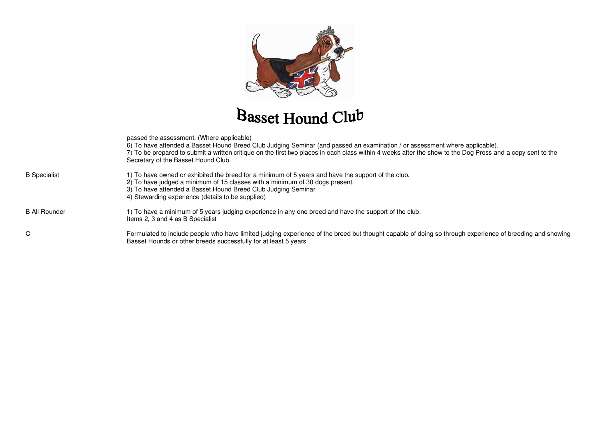

|                      | passed the assessment. (Where applicable)<br>6) To have attended a Basset Hound Breed Club Judging Seminar (and passed an examination / or assessment where applicable).<br>7) To be prepared to submit a written critique on the first two places in each class within 4 weeks after the show to the Dog Press and a copy sent to the<br>Secretary of the Basset Hound Club. |
|----------------------|-------------------------------------------------------------------------------------------------------------------------------------------------------------------------------------------------------------------------------------------------------------------------------------------------------------------------------------------------------------------------------|
| <b>B</b> Specialist  | 1) To have owned or exhibited the breed for a minimum of 5 years and have the support of the club.<br>2) To have judged a minimum of 15 classes with a minimum of 30 dogs present.<br>3) To have attended a Basset Hound Breed Club Judging Seminar<br>4) Stewarding experience (details to be supplied)                                                                      |
| <b>B All Rounder</b> | 1) To have a minimum of 5 years judging experience in any one breed and have the support of the club.<br>Items 2, 3 and 4 as B Specialist                                                                                                                                                                                                                                     |
| C                    | Formulated to include people who have limited judging experience of the breed but thought capable of doing so through experience of breeding and showing<br>Basset Hounds or other breeds successfully for at least 5 years                                                                                                                                                   |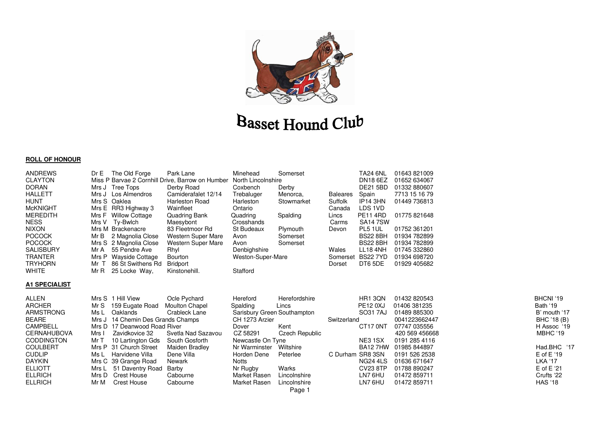

#### **ROLL OF HONOUR**

| <b>ANDREWS</b><br><b>CLAYTON</b><br><b>DORAN</b><br><b>HALLETT</b><br><b>HUNT</b><br><b>McKNIGHT</b><br><b>MEREDITH</b><br><b>NESS</b><br><b>NIXON</b><br><b>POCOCK</b><br><b>POCOCK</b><br><b>SALISBURY</b><br><b>TRANTER</b><br><b>TRYHORN</b><br><b>WHITE</b>   | The Old Forge<br>DrE<br>Miss P Barvae 2 Cornhill Drive, Barrow on Humber North Lincolnshire<br>Mrs J Tree Tops<br>Mrs J Los Almendros<br>Mrs S Oaklea<br>Mrs E RR3 Highway 3<br>Mrs F Willow Cottage<br>Mrs V Ty-Bwlch<br>Mrs M Brackenacre<br>Mr B<br>2 Magnolia Close<br>Mrs S 2 Magnolia Close<br>55 Pendre Ave<br>Mr A<br>Mrs P<br>Wayside Cottage<br>Mr T<br>86 St Swithens Rd<br>MrR<br>25 Locke Way, | Park Lane<br>Derby Road<br>Camiderafalet 12/14<br><b>Harleston Road</b><br>Wainfleet<br>Quadring Bank<br>Maesybont<br>83 Fleetmoor Rd<br><b>Western Super Mare</b><br><b>Western Super Mare</b><br>Rhyl<br><b>Bourton</b><br><b>Bridport</b><br>Kinstonehill. | Minehead<br>Coxbench<br>Trebaluger<br>Harleston<br>Ontario<br>Quadring<br>Crosshands<br>St Budeaux<br>Avon<br>Avon<br>Denbighshire<br>Weston-Super-Mare<br>Stafford                                         | Somerset<br>Derby<br>Menorca,<br>Stowmarket<br>Spalding<br>Plymouth<br>Somerset<br>Somerset                               | <b>Baleares</b><br>Suffolk<br>Canada<br>Lincs<br>Carms<br>Devon<br>Wales<br>Somerset<br>Dorset | <b>TA24 6NL</b><br><b>DN18 6EZ</b><br><b>DE21 5BD</b><br>Spain<br>IP <sub>14</sub> 3HN<br>LDS 1VD<br><b>PE11 4RD</b><br><b>SA147SW</b><br>PL5 1UL<br><b>BS22 8BH</b><br><b>BS22 8BH</b><br><b>LL18 4NH</b><br><b>BS227YD</b><br>DT6 5DE | 01643821009<br>01652 634067<br>01332880607<br>7713 15 16 79<br>01449 736813<br>01775 821648<br>01752 361201<br>01934 782899<br>01934 782899<br>01745 332860<br>01934 698720<br>01929 405682                       |                                                                                                                                                                                     |
|--------------------------------------------------------------------------------------------------------------------------------------------------------------------------------------------------------------------------------------------------------------------|-------------------------------------------------------------------------------------------------------------------------------------------------------------------------------------------------------------------------------------------------------------------------------------------------------------------------------------------------------------------------------------------------------------|---------------------------------------------------------------------------------------------------------------------------------------------------------------------------------------------------------------------------------------------------------------|-------------------------------------------------------------------------------------------------------------------------------------------------------------------------------------------------------------|---------------------------------------------------------------------------------------------------------------------------|------------------------------------------------------------------------------------------------|-----------------------------------------------------------------------------------------------------------------------------------------------------------------------------------------------------------------------------------------|-------------------------------------------------------------------------------------------------------------------------------------------------------------------------------------------------------------------|-------------------------------------------------------------------------------------------------------------------------------------------------------------------------------------|
| <b>A1 SPECIALIST</b><br><b>ALLEN</b><br><b>ARCHER</b><br><b>ARMSTRONG</b><br><b>BEARE</b><br><b>CAMPBELL</b><br><b>CERNAHUBOVA</b><br><b>CODDINGTON</b><br><b>COULBERT</b><br><b>CUDLIP</b><br><b>DAYKIN</b><br><b>ELLIOTT</b><br><b>ELLRICH</b><br><b>ELLRICH</b> | Mrs S 1 Hill View<br>Mr S<br>159 Eugate Road<br>Oaklands<br>Ms L<br>14 Chemin Des Grands Champs<br>Mrs J<br>Mrs D 17 Deanwood Road River<br>Zavidkovice 32<br>Mrs I<br>Mr T<br>10 Lartington Gds<br>Mrs P<br>31 Church Street<br>Harvidene Villa<br>Ms L<br>Mrs C 39 Grange Road<br>51 Daventry Road<br>Mrs L<br>Mrs D<br>Crest House<br>Mr M<br><b>Crest House</b>                                         | Ocle Pychard<br><b>Moulton Chapel</b><br>Crableck Lane<br>Svetla Nad Sazavou<br>South Gosforth<br>Maiden Bradley<br>Dene Villa<br>Newark<br>Barby<br>Cabourne<br>Cabourne                                                                                     | Hereford<br>Spalding<br>Sarisbury Green Southampton<br>CH 1273 Arzier<br>Dover<br>CZ 58291<br>Newcastle On Tyne<br>Nr Warminster<br>Horden Dene<br><b>Notts</b><br>Nr Rugby<br>Market Rasen<br>Market Rasen | Herefordshire<br>Lincs<br>Kent<br><b>Czech Republic</b><br>Wiltshire<br>Peterlee<br>Warks<br>Lincolnshire<br>Lincolnshire | Switzerland<br>C Durham SR8 3SN                                                                | HR1 3QN<br><b>PE12 0XJ</b><br>SO31 7AJ<br>CT17 0NT<br>NE31SX<br><b>BA127HW</b><br><b>NG24 4LS</b><br><b>CV23 8TP</b><br>LN7 6HU<br>LN7 6HU                                                                                              | 01432 820543<br>01406 381235<br>01489 885300<br>0041223662447<br>07747 035556<br>420 569 456668<br>0191 285 4116<br>01985 844897<br>0191 526 2538<br>01636 671647<br>01788 890247<br>01472 859711<br>01472 859711 | BHCNI '19<br>Bath '19<br>B' mouth '17<br>BHC '18 (B)<br>H Assoc '19<br>MBHC '19<br>Had.BHC '17<br>$E$ of $E'$ 19<br><b>LKA '17</b><br>$E$ of $E'21$<br>Crufts '22<br><b>HAS '18</b> |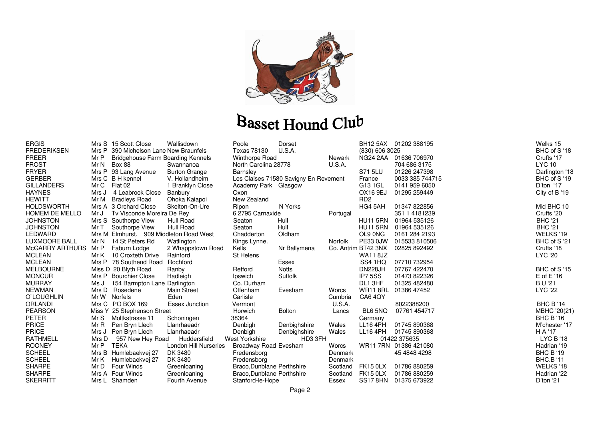

| <b>ERGIS</b>           |       | Mrs S 15 Scott Close                     | Wallisdown            | Poole                      | Dorset                                |               |                             | BH12 5AX 01202 388195 | Welks 15         |
|------------------------|-------|------------------------------------------|-----------------------|----------------------------|---------------------------------------|---------------|-----------------------------|-----------------------|------------------|
| <b>FREDERIKSEN</b>     |       | Mrs P 390 Michelson Lane New Braunfels   |                       | Texas 78130                | U.S.A.                                |               | (830) 606 3025              |                       | BHC of S '18     |
| <b>FREER</b>           | Mr P  | <b>Bridgehouse Farm Boarding Kennels</b> |                       | <b>Winthorpe Road</b>      |                                       | Newark        |                             | NG24 2AA 01636 706970 | Crufts '17       |
| <b>FROST</b>           | Mr N  | <b>Box 88</b>                            | Swannanoa             | North Carolina 28778       |                                       | U.S.A.        |                             | 704 686 3175          | <b>LYC 10</b>    |
| <b>FRYER</b>           |       | Mrs P 93 Lang Avenue                     | <b>Burton Grange</b>  | <b>Barnsley</b>            |                                       |               | S71 5LU                     | 01226 247398          | Darlington '18   |
| <b>GERBER</b>          |       | Mrs C B H kennel                         | V. Hollandheim        |                            | Les Claises 71580 Savigny En Revement |               | France                      | 0033 385 744715       | BHC of S '19     |
| <b>GILLANDERS</b>      | Mr C  | Flat 02                                  | 1 Branklyn Close      | Academy Park Glasgow       |                                       |               | G13 1GL                     | 0141 959 6050         | D'ton '17        |
| <b>HAYNES</b>          | Mrs J | 4 Leabrook Close                         | Banbury               | Oxon                       |                                       |               | OX16 9EJ                    | 01295 259449          | City of B '19    |
| <b>HEWITT</b>          | Mr M  | <b>Bradleys Road</b>                     | Ohoka Kaiapoi         | New Zealand                |                                       |               | R <sub>D</sub> <sub>2</sub> |                       |                  |
| <b>HOLDSWORTH</b>      |       | Mrs A 3 Orchard Close                    | Skelton-On-Ure        | Ripon                      | N Yorks                               |               | HG4 5AH                     | 01347 822856          | Mid BHC 10       |
| <b>HOMEM DE MELLO</b>  | Mr J  | Tv Visconde Moreira De Rey               |                       | 6 2795 Carnaxide           |                                       | Portugal      |                             | 351 1 4181239         | Crufts '20       |
| <b>JOHNSTON</b>        |       | Mrs S Southorpe View                     | Hull Road             | Seaton                     | Hull                                  |               | <b>HU11 5RN</b>             | 01964 535126          | <b>BHC '21</b>   |
| <b>JOHNSTON</b>        | Mr T  | Southorpe View                           | Hull Road             | Seaton                     | Hull                                  |               | <b>HU11 5RN</b>             | 01964 535126          | <b>BHC '21</b>   |
| LEDWARD                |       | Mrs M Elmhurst. 909 Middleton Road West  |                       | Chadderton                 | Oldham                                |               | OL9 0NG                     | 0161 284 2193         | WELKS '19        |
| LUXMOORE BALL          | Mr N  | 14 St Peters Rd                          | Watlington            | Kings Lynne.               |                                       | Norfolk       | PE33 0JW                    | 015533810506          | BHC of S '21     |
| <b>McGARRY ARTHURS</b> | Mr P  | Faburn Lodge                             | 2 Whappstown Road     | Kells                      | Nr Ballymena                          |               | Co. Antrim BT42 3NX         | 02825 892492          | Crufts '18       |
| <b>MCLEAN</b>          | Mr K  | 10 Croxteth Drive                        | Rainford              | St Helens                  |                                       |               | <b>WA11 8JZ</b>             |                       | <b>LYC '20</b>   |
| <b>MCLEAN</b>          |       | Mrs P 78 Southend Road                   | Rochford              |                            | Essex                                 |               | SS4 1HQ                     | 07710 732954          |                  |
| <b>MELBOURNE</b>       |       | Miss D 20 Blyth Road                     | Ranby                 | Retford                    | <b>Notts</b>                          |               | <b>DN228JH</b>              | 07767 422470          | BHC of S '15     |
| <b>MONCUR</b>          |       | Mrs P Bourchier Close                    | Hadleigh              | Ipswich                    | Suffolk                               |               | IP7 5SS                     | 01473 822326          | $E$ of $E'$ 16   |
| <b>MURRAY</b>          | Ms J  | 154 Barmpton Lane Darlington             |                       | Co. Durham                 |                                       |               | DL1 3HF                     | 01325 482480          | <b>BU'21</b>     |
| <b>NEWMAN</b>          | Mrs D | Rosedene                                 | <b>Main Street</b>    | Offenham                   | Evesham                               | Worcs         | <b>WR11 8RL</b>             | 01386 47452           | LYC '22          |
| O'LOUGHLIN             |       | Mr W Norfels                             | Eden                  | Carlisle                   |                                       | Cumbria       | CA64QY                      |                       |                  |
| ORLANDI                |       | Mrs C PO BOX 169                         | <b>Essex Junction</b> | Vermont                    |                                       | <b>U.S.A.</b> |                             | 8022388200            | <b>BHC B '14</b> |
| <b>PEARSON</b>         |       | Miss Y 25 Stephenson Street              |                       | Horwich                    | <b>Bolton</b>                         | Lancs         | BL6 5NQ                     | 07761 454717          | MBHC '20(21)     |
| <b>PETER</b>           | Mr S  | Moltkstrasse 11                          | Schoningen            | 38364                      |                                       |               | Germany                     |                       | <b>BHC B '16</b> |
| <b>PRICE</b>           | Mr R  | Pen Bryn Llech                           | Llanrhaeadr           | Denbigh                    | Denbighshire                          | Wales         | LL16 4PH                    | 01745 890368          | M'chester '17    |
| <b>PRICE</b>           |       | Mrs J Pen Bryn Llech                     | Llanrhaeadr           | Denbigh                    | Denbighshire                          | Wales         | <b>LL16 4PH</b>             | 01745 890368          | H A '17          |
| <b>RATHMELL</b>        | Mrs D | 957 New Hey Road                         | Huddersfield          | <b>West Yorkshire</b>      | HD3 3FH                               |               |                             | 01422 375635          | LYC B '18        |
| <b>ROONEY</b>          | Mr P  | <b>TEKA</b>                              | London Hill Nurseries | Broadway Road Evesham      |                                       | Worcs         |                             | WR11 7RN 01386 421080 | Hadrian '19      |
| <b>SCHEEL</b>          |       | Mrs B Humlebaekvej 27                    | DK 3480               | Fredensborg                |                                       | Denmark       |                             | 45 4848 4298          | <b>BHC B '19</b> |
| <b>SCHEEL</b>          | Mr K  | Humlebaekvej 27                          | DK 3480               | Fredensborg                |                                       | Denmark       |                             |                       | <b>BHC.B '11</b> |
| <b>SHARPE</b>          | Mr D  | <b>Four Winds</b>                        | Greenloaning          | Braco, Dunblane Perthshire |                                       | Scotland      | <b>FK15 0LX</b>             | 01786 880259          | WELKS '18        |
| <b>SHARPE</b>          |       | Mrs A Four Winds                         | Greenloaning          | Braco, Dunblane Perthshire |                                       | Scotland      | <b>FK15 0LX</b>             | 01786 880259          | Hadrian '22      |
| <b>SKERRITT</b>        |       | Mrs L Shamden                            | Fourth Avenue         | Stanford-le-Hope           |                                       | Essex         |                             | SS17 8HN 01375 673922 | D'ton '21        |
|                        |       |                                          |                       |                            |                                       |               |                             |                       |                  |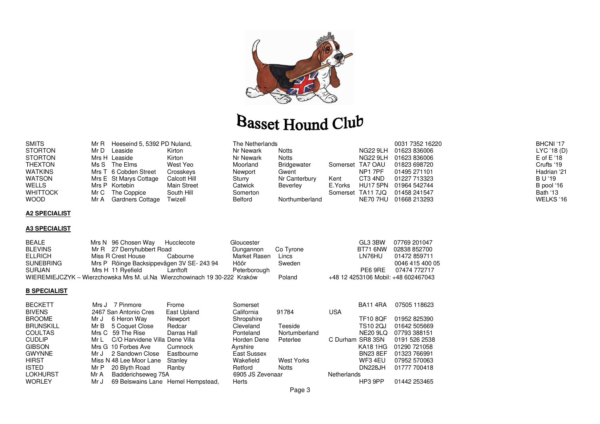

| <b>SMITS</b>    |      | Mr R Heeseind 5, 5392 PD Nuland, |              | The Netherlands |                |         |                   | 0031 7352 16220 | BHCNI '17      |
|-----------------|------|----------------------------------|--------------|-----------------|----------------|---------|-------------------|-----------------|----------------|
| <b>STORTON</b>  | Mr D | Leaside                          | Kirton       | Nr Newark       | <b>Notts</b>   |         | NG22 9LH          | 01623 836006    | LYC '18 (D)    |
| <b>STORTON</b>  |      | Mrs H Leaside                    | Kirton       | Nr Newark       | <b>Notts</b>   |         | NG22 9LH          | 01623 836006    | $E$ of $E'$ 18 |
| THEXTON         |      | Ms S The Elms                    | West Yeo     | Moorland        | Bridgewater    |         | Somerset TA7 OAU  | 01823 698720    | Crufts '19     |
| WATKINS         |      | Mrs T 6 Cobden Street            | Crosskeys    | Newport         | Gwent          |         | NP1 7PF           | 01495 271101    | Hadrian '21    |
| WATSON          |      | Mrs E St Marys Cottage           | Calcott Hill | Sturry          | Nr Canterbury  | Kent    | CT3 4ND           | 01227 713323    | B U '19        |
| WELLS           |      | Mrs P Kortebin                   | Main Street  | Catwick         | Beverley       | E.Yorks | HU17 5PN          | 01964 542744    | B pool '16     |
| <b>WHITTOCK</b> |      | Mr C The Coppice                 | South Hill   | Somerton        |                |         | Somerset TA11 7JQ | 01458 241547    | Bath '13       |
| <b>WOOD</b>     | Mr A | Gardners Cottage                 | Twizell      | Belford         | Northumberland |         | NE70 7HU          | 01668 213293    | WELKS '16      |

#### **A2 SPECIALIST**

#### **A3 SPECIALIST**

| <b>BEALE</b>     | Mrs N 96 Chosen Way Hucclecote                                            |          | Gloucester   |           | GI.3.3BW                            | 07769 201047    |
|------------------|---------------------------------------------------------------------------|----------|--------------|-----------|-------------------------------------|-----------------|
| <b>BLEVINS</b>   | Mr R 27 Derryhubbert Road                                                 |          | Dungannon    | Co Tyrone | <b>BT71 6NW</b>                     | 02838 852700    |
| <b>ELLRICH</b>   | Miss R Crest House                                                        | Cabourne | Market Rasen | Lincs     | I N76HU                             | 01472 859711    |
| <b>SUNEBRING</b> | Mrs P Röinge Backsippevägen 3V SE-243 94                                  |          | Höör         | Sweden    |                                     | 0046 415 400 05 |
| <b>SURJAN</b>    | Mrs H 11 Ryefield                                                         | Lanftoft | Peterborough |           | PF6 9RF                             | 07474 772717    |
|                  | WIEREMIEJCZYK – Wierzchowska Mrs M. ul.Na Wierzchowinach 19 30-222 Kraków |          |              | Poland    | +48 12 4253106 Mobil: +48 602467043 |                 |

#### **B SPECIALIST**

| <b>BECKETT</b>   |      | Mrs J 7 Pinmore                    | Frome       | Somerset         |               |                    | <b>BA11 4RA</b> | 07505 118623  |
|------------------|------|------------------------------------|-------------|------------------|---------------|--------------------|-----------------|---------------|
| <b>BIVENS</b>    |      | 2467 San Antonio Cres              | East Upland | California       | 91784         | <b>USA</b>         |                 |               |
| <b>BROOME</b>    | Mr J | 6 Heron Way                        | Newport     | Shropshire       |               |                    | <b>TF10 8OF</b> | 01952 825390  |
| <b>BRUNSKILL</b> |      | Mr B 5 Coquet Close                | Redcar      | Cleveland        | Teeside       |                    | TS10 2QJ        | 01642 505669  |
| <b>COULTAS</b>   |      | Mrs C 59 The Rise                  | Darras Hall | Ponteland        | Nortumberland |                    | <b>NE20 9LQ</b> | 07793 388151  |
| <b>CUDLIP</b>    | Mr L | C/O Harvidene Villa Dene Villa     |             | Horden Dene      | Peterlee      | C Durham SR8 3SN   |                 | 0191 526 2538 |
| <b>GIBSON</b>    |      | Mrs G 10 Forbes Ave                | Cumnock     | Ayrshire         |               |                    | <b>KA18 1HG</b> | 01290 721058  |
| <b>GWYNNE</b>    | Mr J | 2 Sandown Close                    | Eastbourne  | East Sussex      |               |                    | <b>BN23 8EF</b> | 01323 766991  |
| <b>HIRST</b>     |      | Miss N 48 Lee Moor Lane            | Stanley     | Wakefield        | West Yorks    |                    | WF3 4EU         | 07952 570063  |
| <b>ISTED</b>     | Mr P | 20 Blyth Road                      | Ranby       | Retford          | <b>Notts</b>  |                    | <b>DN228JH</b>  | 01777 700418  |
| LOKHURST         | Mr A | Badderichseweg 75A                 |             | 6905 JS Zevenaar |               | <b>Netherlands</b> |                 |               |
| <b>WORLEY</b>    | Mr J | 69 Belswains Lane Hemel Hempstead, |             | Herts            |               |                    | HP3 9PP         | 01442 253465  |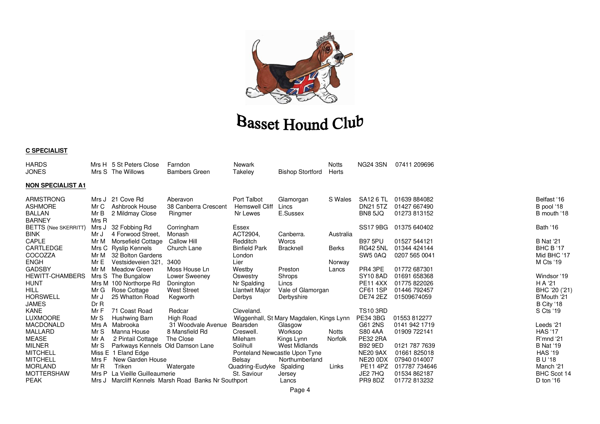

#### **C SPECIALIST**

| <b>HARDS</b><br>JONES                                                |                       | Mrs H 5 St Peters Close<br>Mrs S The Willows            | Farndon<br><b>Bambers Green</b>                      | Newark<br>Takeley                                | <b>Bishop Stortford</b>                               | <b>Notts</b><br>Herts | <b>NG24 3SN</b>                                | 07411 209696                                 |                                          |
|----------------------------------------------------------------------|-----------------------|---------------------------------------------------------|------------------------------------------------------|--------------------------------------------------|-------------------------------------------------------|-----------------------|------------------------------------------------|----------------------------------------------|------------------------------------------|
| <b>NON SPECIALIST A1</b>                                             |                       |                                                         |                                                      |                                                  |                                                       |                       |                                                |                                              |                                          |
| <b>ARMSTRONG</b><br><b>ASHMORE</b><br><b>BALLAN</b><br><b>BARNEY</b> | Mr C<br>Mr B<br>Mrs R | Mrs J 21 Cove Rd<br>Ashbrook House<br>2 Mildmay Close   | Aberavon<br>38 Canberra Crescent<br>Ringmer          | Port Talbot<br><b>Hemswell Cliff</b><br>Nr Lewes | Glamorgan<br>Lincs<br>E.Sussex                        | S Wales               | SA12 6 TL<br><b>DN21 5TZ</b><br><b>BN8 5JQ</b> | 01639 884082<br>01427 667490<br>01273 813152 | Belfast '16<br>B pool '18<br>B mouth '18 |
| <b>BETTS (Nee SKERRITT)</b>                                          | Mrs J                 | 32 Fobbing Rd                                           | Corringham                                           | Essex                                            |                                                       |                       | <b>SS17 9BG</b>                                | 01375 640402                                 | Bath '16                                 |
| <b>BINK</b><br>CAPLE                                                 | Mr J<br>Mr M          | 4 Forwood Street,<br>Morsefield Cottage                 | Monash<br>Callow Hill                                | ACT2904,<br>Redditch<br><b>Binfield Park</b>     | Canberra.<br><b>Worcs</b>                             | Australia             | <b>B97 5PU</b><br><b>RG42 5NL</b>              | 01527 544121<br>01344 424144                 | <b>B</b> Nat '21                         |
| CARTLEDGE<br>COCOZZA                                                 | Mr M                  | Mrs C Ryslip Kennels<br>32 Bolton Gardens               | Church Lane                                          | London                                           | <b>Bracknell</b>                                      | <b>Berks</b>          | SW5 0AQ                                        | 0207 565 0041                                | BHC B '17<br>Mid BHC '17                 |
| <b>ENGH</b><br><b>GADSBY</b>                                         | Mr E<br>Mr M          | Vestsideveien 321.<br>Meadow Green                      | 3400<br>Moss House Ln                                | Lier<br>Westby                                   | Preston                                               | Norway<br>Lancs       | PR4 3PE                                        | 01772 687301                                 | <b>M Cts '19</b>                         |
| <b>HEWITT-CHAMBERS</b><br>HUNT                                       |                       | Mrs S The Bungalow<br>Mrs M 100 Northorpe Rd            | Lower Sweeney<br>Donington                           | Oswestry<br>Nr Spalding                          | Shrops<br>Lincs                                       |                       | <b>SY10 8AD</b><br><b>PE11 4XX</b>             | 01691 658368<br>01775 822026                 | Windsor '19<br>H A '21                   |
| <b>HILL</b><br><b>HORSWELL</b>                                       | Mr G<br>Mr J          | Rose Cottage<br>25 Whatton Road                         | <b>West Street</b><br>Kegworth                       | Llantwit Major<br><b>Derbys</b>                  | Vale of Glamorgan<br>Derbyshire                       |                       | <b>CF61 1SP</b><br><b>DE74 2EZ</b>             | 01446 792457<br>01509674059                  | BHC '20 ('21)<br>B'Mouth '21             |
| <b>JAMES</b>                                                         | DrR                   |                                                         |                                                      |                                                  |                                                       |                       |                                                |                                              | B City '18                               |
| <b>KANE</b><br><b>LUXMOORE</b>                                       | Mr F<br>Mr S          | 71 Coast Road<br>Hushwing Barn                          | Redcar<br>High Road                                  | Cleveland.                                       | Wiggenhall, St Mary Magdalen, Kings Lynn              |                       | <b>TS10 3RD</b><br><b>PE34 3BG</b>             | 01553 812277                                 | S Cts '19                                |
| <b>MACDONALD</b><br><b>MALLARD</b>                                   | Mrs A<br>Mr S         | Mabrooka<br>Manna House                                 | 31 Woodvale Avenue<br>8 Mansfield Rd                 | Bearsden<br>Creswell.                            | Glasgow<br>Worksop                                    | Notts                 | G61 2NS<br>S80 4AA                             | 0141 942 1719<br>01909 722141                | Leeds '21<br><b>HAS '17</b>              |
| <b>MEASE</b>                                                         | Mr A                  | 2 Pintail Cottage                                       | The Close                                            | Mileham                                          | Kings Lynn                                            | Norfolk               | <b>PE32 2RA</b>                                |                                              | R'mnd '21                                |
| <b>MILNER</b><br><b>MITCHELL</b>                                     | Mr S                  | Parkways Kennels Old Damson Lane<br>Miss E 1 Eland Edge |                                                      | Solihull                                         | <b>West Midlands</b><br>Ponteland Newcastle Upon Tyne |                       | <b>B92 9ED</b><br><b>NE20 9AX</b>              | 0121 787 7639<br>01661825018                 | <b>B</b> Nat '19<br><b>HAS '19</b>       |
| <b>MITCHELL</b><br><b>MORLAND</b>                                    | Mrs F<br>Mr R         | New Garden House<br>Triken                              | Watergate                                            | Belsay<br>Quadring-Eudyke                        | Northumberland<br>Spalding                            | Links                 | <b>NE20 0DX</b><br><b>PE11 4PZ</b>             | 07940 014007<br>017787 734646                | <b>BU'18</b><br>Manch '21                |
| <b>MOTTERSHAW</b>                                                    |                       | Mrs P La Vieille Guilleaumerie                          |                                                      | St. Saviour                                      | Jersey                                                |                       | JE2 7HQ                                        | 01534 862187                                 | BHC Scot 14                              |
| <b>PEAK</b>                                                          |                       |                                                         | Mrs J Marcliff Kennels Marsh Road Banks Nr Southport |                                                  | Lancs                                                 |                       | PR98DZ                                         | 01772 813232                                 | D ton '16                                |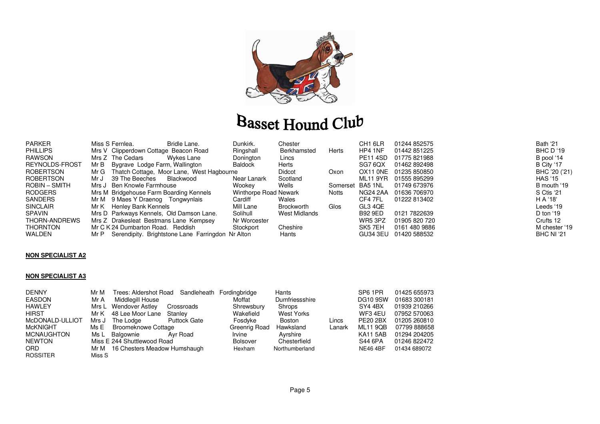

| PARKER           | Miss S Fernlea.                          | Bridle Lane.                                      | Dunkirk.              | Chester       |                  | CH <sub>1</sub> 6LR | 01244 852575          | Bath '21          |
|------------------|------------------------------------------|---------------------------------------------------|-----------------------|---------------|------------------|---------------------|-----------------------|-------------------|
| <b>PHILLIPS</b>  | Mrs V Clipperdown Cottage Beacon Road    |                                                   | Ringshall             | Berkhamsted   | Herts            | HP4 1NF             | 01442 851225          | <b>BHC D '19</b>  |
| RAWSON           | Mrs Z The Cedars                         | Wykes Lane                                        | Donington             | Lincs         |                  | <b>PE11 4SD</b>     | 01775821988           | B pool '14        |
| REYNOLDS-FROST   | Mr B<br>Bygrave Lodge Farm, Wallington   |                                                   | <b>Baldock</b>        | Herts         |                  | SG7 6QX             | 01462 892498          | B City '17        |
| <b>ROBERTSON</b> | Mr G                                     | Thatch Cottage, Moor Lane, West Hagbourne         |                       | Didcot        | Oxon             |                     | OX11 0NE 01235 850850 | BHC '20 ('21)     |
| <b>ROBERTSON</b> | 39 The Beeches<br>Mr J                   | Blackwood                                         | Near Lanark           | Scotland      |                  | ML11 9YR            | 01555 895299          | <b>HAS '15</b>    |
| ROBIN – SMITH    | Mrs J Ben Knowle Farmhouse               |                                                   | Wookey                | Wells         | Somerset BA5 1NL |                     | 01749 673976          | B mouth '19       |
| <b>RODGERS</b>   | Mrs M Bridgehouse Farm Boarding Kennels  |                                                   | Winthorpe Road Newark |               | Notts            | NG24 2AA            | 01636 706970          | S Ctis '21        |
| SANDERS          | 9 Maes Y Draenog Tongwynlais<br>Mr M     |                                                   | Cardiff               | Wales         |                  | CF4 7FL             | 01222 813402          | H A '18'          |
| <b>SINCLAIR</b>  | Mr K Henley Bank Kennels                 |                                                   | Mill Lane             | Brockworth    | Glos             | GL3 4QE             |                       | Leeds '19         |
| SPAVIN           | Mrs D Parkways Kennels, Old Damson Lane. |                                                   | Solihull              | West Midlands |                  | <b>B92 9ED</b>      | 0121 7822639          | D ton $19$        |
| THORN-ANDREWS    | Mrs Z Drakesleat Bestmans Lane Kempsey   |                                                   | Nr Worcester          |               |                  | WR5 3PZ             | 01905 820 720         | Crufts 12         |
| THORNTON         | Mr C K 24 Dumbarton Road. Reddish        |                                                   | Stockport             | Cheshire      |                  | SK <sub>5</sub> 7EH | 0161 480 9886         | M chester '19     |
| WALDEN           | Mr P                                     | Serendipity. Brightstone Lane Farringdon Nr Alton |                       | Hants         |                  | <b>GU34 3EU</b>     | 01420 588532          | <b>BHC NI '21</b> |

#### **NON SPECIALIST A2**

#### **NON SPECIALIST A3**

| <b>DENNY</b>      | Mr M   | Trees: Aldershot Road Sandleheath |                     | Fordingbridge   | Hants          |        | SP6 1PR         | 01425 655973 |
|-------------------|--------|-----------------------------------|---------------------|-----------------|----------------|--------|-----------------|--------------|
| <b>EASDON</b>     | Mr A   | Middlegill House                  |                     | Moffat          | Dumfriessshire |        | <b>DG10 9SW</b> | 01683 300181 |
| <b>HAWLEY</b>     |        | Mrs L Wendover Astley             | Crossroads          | Shrewsbury      | Shrops         |        | SY4 4BX         | 01939 210266 |
| <b>HIRST</b>      |        | Mr K 48 Lee Moor Lane             | Stanlev             | Wakefield       | West Yorks     |        | WF3 4EU         | 07952 570063 |
| McDONALD-ULLIOT   | Mrs J  | The Lodge                         | <b>Puttock Gate</b> | Fosdyke         | Boston         | Lincs  | PE20 2BX        | 01205 260810 |
| <b>McKNIGHT</b>   | Ms E   | Broomeknowe Cottage               |                     | Greenrig Road   | Hawksland      | Lanark | <b>ML11 9QB</b> | 07799 888658 |
| <b>MCNAUGHTON</b> |        | Ms L Balgownie                    | Avr Road            | Irvine          | Avrshire       |        | <b>KA11 5AB</b> | 01294 204205 |
| <b>NEWTON</b>     |        | Miss E 244 Shuttlewood Road       |                     | <b>Bolsover</b> | Chesterfield   |        | S44 6PA         | 01246 822472 |
| <b>ORD</b>        |        | Mr M 16 Chesters Meadow Humshaugh |                     | Hexham          | Northumberland |        | <b>NE46 4BF</b> | 01434 689072 |
| <b>ROSSITER</b>   | Miss S |                                   |                     |                 |                |        |                 |              |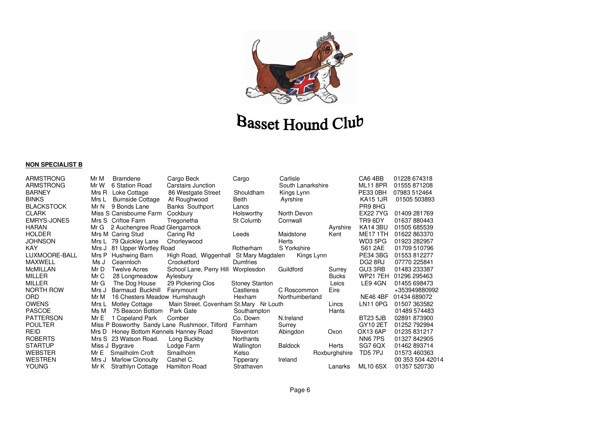

#### **NON SPECIALIST B**

| ARMSTRONG          | Mr M  | <b>Bramdene</b>                  | Cargo Beck                                    | Cargo                 | Carlisle          |               | CA64BB          | 01228 674318     |
|--------------------|-------|----------------------------------|-----------------------------------------------|-----------------------|-------------------|---------------|-----------------|------------------|
| ARMSTRONG          | Mr W  | 6 Station Road                   | Carstairs Junction                            |                       | South Lanarkshire |               | <b>ML11 8PR</b> | 01555 871208     |
| <b>BARNEY</b>      | Mrs R | Loke Cottage                     | 86 Westgate Street                            | Shouldham             | Kings Lynn        |               | <b>PE33 0BH</b> | 07983 512464     |
| <b>BINKS</b>       | Mrs L | <b>Burnside Cottage</b>          | At Roughwood                                  | <b>Beith</b>          | Ayrshire          |               | <b>KA15 1JR</b> | 01505 503893     |
| <b>BLACKSTOCK</b>  | Mr N  | 9 Bonds Lane                     | <b>Banks Southport</b>                        | Lancs                 |                   |               | PR98HG          |                  |
| <b>CLARK</b>       |       | Miss S Canisbourne Farm          | Cockbury                                      | Holsworthy            | North Devon       |               | <b>EX227YG</b>  | 01409 281769     |
| <b>EMRYS-JONES</b> |       | Mrs S Criftoe Farm               | Tregonetha                                    | St Columb             | Cornwall          |               | TR9 6DY         | 01637880443      |
| <b>HARAN</b>       | Mr G  | 2 Auchengree Road Glengarnock    |                                               |                       |                   | Ayrshire      | <b>KA14 3BU</b> | 01505 685539     |
| <b>HOLDER</b>      |       | Mrs M Caring Stud                | Caring Rd                                     | Leeds                 | Maidstone         | Kent          | <b>ME171TH</b>  | 01622 863370     |
| <b>JOHNSON</b>     | Mrs L | 79 Quickley Lane                 | Chorleywood                                   |                       | <b>Herts</b>      |               | WD3 5PG         | 01923 282957     |
| <b>KAY</b>         | Mrs J | 81 Upper Wortley Road            |                                               | Rotherham             | S Yorkshire       |               | <b>S61 2AE</b>  | 01709 510796     |
| LUXMOORE-BALL      | Mrs P | Hushwing Barn                    | High Road, Wiggenhall                         | St Mary Magdalen      | Kings Lynn        |               | <b>PE34 3BG</b> | 01553 812277     |
| <b>MAXWELL</b>     | Ms J  | Ceannloch                        | Crocketford                                   | <b>Dumfries</b>       |                   |               | DG2 8RJ         | 07770 225841     |
| <b>McMILLAN</b>    | Mr D  | <b>Twelve Acres</b>              | School Lane, Perry Hill Worplesdon            |                       | Guildford         | Surrey        | GU3 3RB         | 01483 233387     |
| <b>MILLER</b>      | Mr C  | 28 Longmeadow                    | Aylesbury                                     |                       |                   | <b>Bucks</b>  | <b>WP21 7EH</b> | 01296 295463     |
| <b>MILLER</b>      | Mr G  | The Dog House                    | 29 Pickering Clos                             | <b>Stoney Stanton</b> |                   | Leics         | LE9 4GN         | 01455 698473     |
| NORTH ROW          | Mrs J | Barmaud Buckhill                 | Fairymount                                    | Castlerea             | C Roscommon       | Eire          |                 | +353949880992    |
| ORD                | Mr M  | 16 Chesters Meadow Humshaugh     |                                               | Hexham                | Northumberland    |               | <b>NE46 4BF</b> | 01434 689072     |
| <b>OWENS</b>       | Mrs L | Motley Cottage                   | Main Street. Covenham St.Mary Nr Louth        |                       |                   | Lincs         | LN11 0PG        | 01507 363582     |
| <b>PASCOE</b>      | Ms M  | 75 Beacon Bottom                 | Park Gate                                     | Southampton           |                   | Hants         |                 | 01489 574483     |
| <b>PATTERSON</b>   | MrE   | 1 Copeland Park                  | Comber                                        | Co. Down              | N.Ireland         |               | <b>BT23 5JB</b> | 02891 873900     |
| <b>POULTER</b>     |       |                                  | Miss P Bosworthy Sandy Lane Rushmoor, Tilford | Farnham               | Surrey            |               | GY10 2ET        | 01252 792994     |
| <b>REID</b>        | Mrs D | Honey Bottom Kennels Hanney Road |                                               | Steventon             | Abingdon          | Oxon          | OX13 6AP        | 01235 831217     |
| <b>ROBERTS</b>     |       | Mrs S 23 Watson Road.            | Long Buckby                                   | Northants             |                   |               | NN67PS          | 01327 842905     |
| <b>STARTUP</b>     |       | Miss J Bygrave                   | Lodge Farm                                    | Wallington            | <b>Baldock</b>    | Herts         | SG7 6QX         | 01462 893714     |
| <b>WEBSTER</b>     | Mr E  | Smailholm Croft                  | Smailholm                                     | Kelso                 |                   | Roxburghshire | TD5 7PJ         | 01573 460363     |
| <b>WESTREN</b>     | Mrs J | <b>Marlow Clonoulty</b>          | Cashel C.                                     | Tipperary             | Ireland           |               |                 | 00 353 504 42014 |
| <b>YOUNG</b>       | Mr K  | <b>Strathlyn Cottage</b>         | <b>Hamilton Road</b>                          | Strathaven            |                   | Lanarks       | <b>ML10 6SX</b> | 01357 520730     |